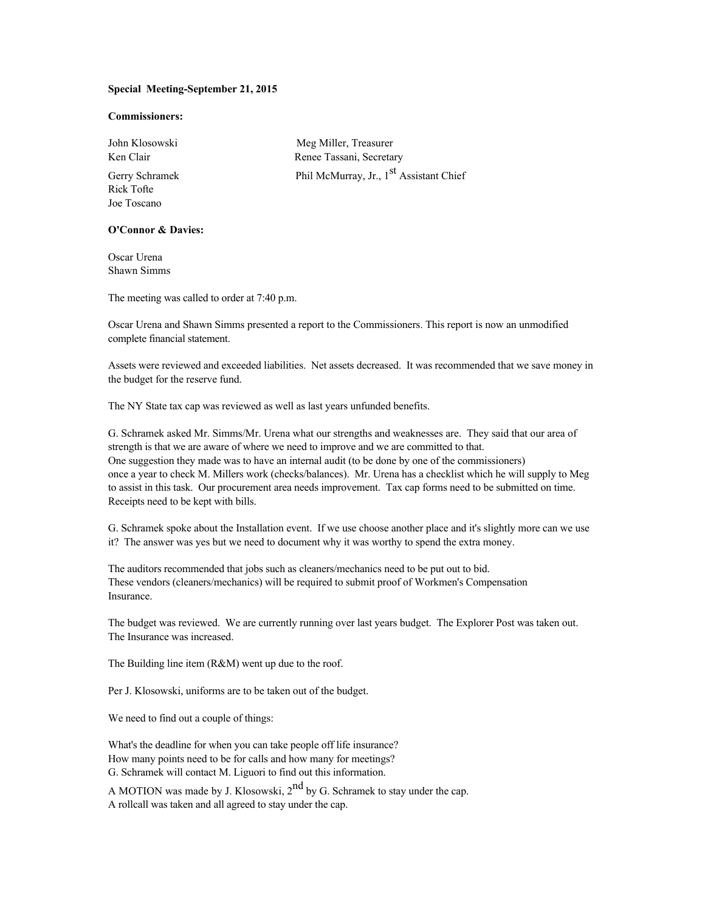## **Special Meeting-September 21, 2015**

## **Commissioners:**

Rick Tofte Joe Toscano

**O'Connor & Davies:**

Oscar Urena Shawn Simms

The meeting was called to order at 7:40 p.m.

Oscar Urena and Shawn Simms presented a report to the Commissioners. This report is now an unmodified complete financial statement.

Assets were reviewed and exceeded liabilities. Net assets decreased. It was recommended that we save money in the budget for the reserve fund.

The NY State tax cap was reviewed as well as last years unfunded benefits.

G. Schramek asked Mr. Simms/Mr. Urena what our strengths and weaknesses are. They said that our area of strength is that we are aware of where we need to improve and we are committed to that. One suggestion they made was to have an internal audit (to be done by one of the commissioners) once a year to check M. Millers work (checks/balances). Mr. Urena has a checklist which he will supply to Meg to assist in this task. Our procurement area needs improvement. Tax cap forms need to be submitted on time. Receipts need to be kept with bills.

G. Schramek spoke about the Installation event. If we use choose another place and it's slightly more can we use it? The answer was yes but we need to document why it was worthy to spend the extra money.

The auditors recommended that jobs such as cleaners/mechanics need to be put out to bid. These vendors (cleaners/mechanics) will be required to submit proof of Workmen's Compensation Insurance.

The budget was reviewed. We are currently running over last years budget. The Explorer Post was taken out. The Insurance was increased.

The Building line item (R&M) went up due to the roof.

Per J. Klosowski, uniforms are to be taken out of the budget.

We need to find out a couple of things:

What's the deadline for when you can take people off life insurance? How many points need to be for calls and how many for meetings? G. Schramek will contact M. Liguori to find out this information.

A MOTION was made by J. Klosowski,  $2^{nd}$  by G. Schramek to stay under the cap. A rollcall was taken and all agreed to stay under the cap.

John Klosowski Meg Miller, Treasurer Ken Clair Renee Tassani, Secretary Gerry Schramek Phil McMurray, Jr., 1<sup>st</sup> Assistant Chief